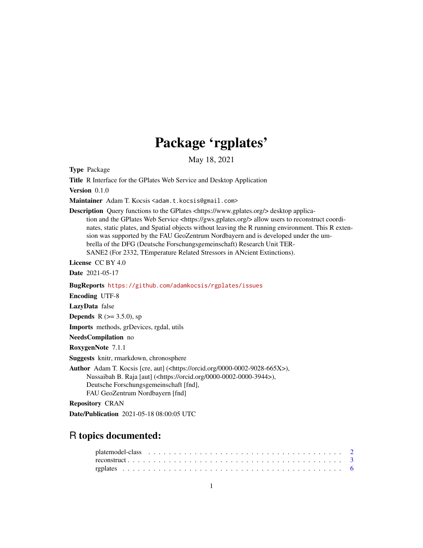## Package 'rgplates'

May 18, 2021

<span id="page-0-0"></span>Type Package

Title R Interface for the GPlates Web Service and Desktop Application

Version 0.1.0

Maintainer Adam T. Kocsis <adam.t.kocsis@gmail.com>

Description Query functions to the GPlates <https://www.gplates.org/> desktop application and the GPlates Web Service <https://gws.gplates.org/> allow users to reconstruct coordinates, static plates, and Spatial objects without leaving the R running environment. This R extension was supported by the FAU GeoZentrum Nordbayern and is developed under the umbrella of the DFG (Deutsche Forschungsgemeinschaft) Research Unit TER-SANE2 (For 2332, TEmperature Related Stressors in ANcient Extinctions).

License CC BY 4.0

Date 2021-05-17

BugReports <https://github.com/adamkocsis/rgplates/issues>

Encoding UTF-8

LazyData false

**Depends** R ( $> = 3.5.0$ ), sp

Imports methods, grDevices, rgdal, utils

NeedsCompilation no

RoxygenNote 7.1.1

Suggests knitr, rmarkdown, chronosphere

Author Adam T. Kocsis [cre, aut] (<https://orcid.org/0000-0002-9028-665X>), Nussaibah B. Raja [aut] (<https://orcid.org/0000-0002-0000-3944>), Deutsche Forschungsgemeinschaft [fnd], FAU GeoZentrum Nordbayern [fnd]

Repository CRAN

Date/Publication 2021-05-18 08:00:05 UTC

### R topics documented: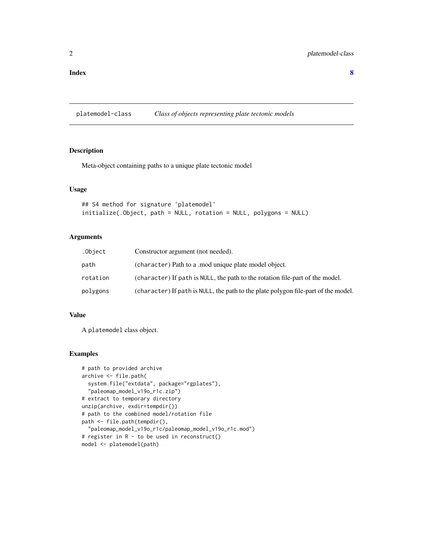#### <span id="page-1-0"></span>**Index** [8](#page-7-0) **8**

platemodel-class *Class of objects representing plate tectonic models*

#### <span id="page-1-1"></span>Description

Meta-object containing paths to a unique plate tectonic model

#### Usage

```
## S4 method for signature 'platemodel'
initialize(.Object, path = NULL, rotation = NULL, polygons = NULL)
```
#### Arguments

| .Object  | Constructor argument (not needed).                                                 |
|----------|------------------------------------------------------------------------------------|
| path     | (character) Path to a mod unique plate model object.                               |
| rotation | (character) If path is NULL, the path to the rotation file-part of the model.      |
| polygons | (character) If path is NULL, the path to the plate polygon file-part of the model. |

#### Value

A platemodel class object.

#### Examples

```
# path to provided archive
archive <- file.path(
 system.file("extdata", package="rgplates"),
  "paleomap_model_v19o_r1c.zip")
# extract to temporary directory
unzip(archive, exdir=tempdir())
# path to the combined model/rotation file
path <- file.path(tempdir(),
  "paleomap_model_v19o_r1c/paleomap_model_v19o_r1c.mod")
# register in R - to be used in reconstruct()
model <- platemodel(path)
```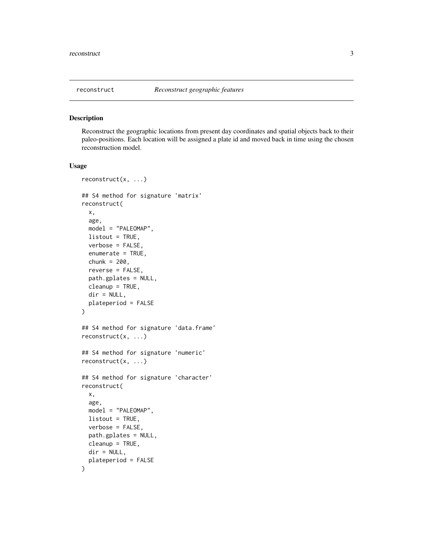<span id="page-2-0"></span>

#### Description

Reconstruct the geographic locations from present day coordinates and spatial objects back to their paleo-positions. Each location will be assigned a plate id and moved back in time using the chosen reconstruction model.

#### Usage

```
reconstruct(x, ...)
## S4 method for signature 'matrix'
reconstruct(
  x,
  age,
 model = "PALEOMAP",
 listout = TRUE,
 verbose = FALSE,
  enumerate = TRUE,
 chunk = 200,
  reverse = FALSE,
 path.gplates = NULL,
 cleanup = TRUE,dir = NULL,plateperiod = FALSE
)
## S4 method for signature 'data.frame'
reconstruct(x, ...)
## S4 method for signature 'numeric'
reconstruct(x, ...)
## S4 method for signature 'character'
reconstruct(
  x,
  age,
 model = "PALEOMAP",
 listout = TRUE,
  verbose = FALSE,
 path.gplates = NULL,
 cleanup = TRUE,
 dir = NULL,plateperiod = FALSE
)
```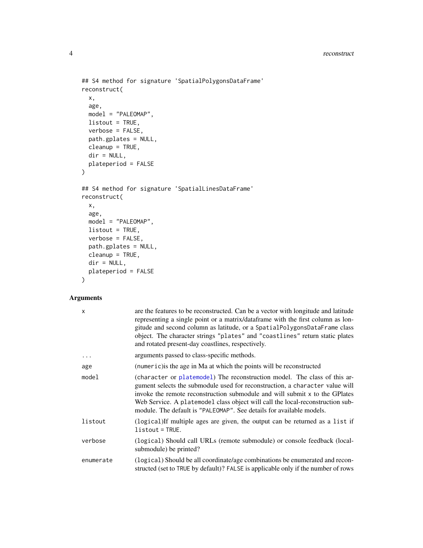```
## S4 method for signature 'SpatialPolygonsDataFrame'
reconstruct(
 x,
 age,
 model = "PALEOMAP",
 listout = TRUE,
 verbose = FALSE,
 path.gplates = NULL,
 cleanup = TRUE,
 dir = NULL,plateperiod = FALSE
)
## S4 method for signature 'SpatialLinesDataFrame'
reconstruct(
 x,
 age,
 model = "PALEOMAP",
 listout = TRUE,
 verbose = FALSE,
 path.gplates = NULL,
 cleanup = TRUE,
 dir = NULL,plateperiod = FALSE
\mathcal{L}
```
#### Arguments

| X         | are the features to be reconstructed. Can be a vector with longitude and latitude<br>representing a single point or a matrix/dataframe with the first column as lon-<br>gitude and second column as latitude, or a SpatialPolygonsDataFrame class<br>object. The character strings "plates" and "coastlines" return static plates<br>and rotated present-day coastlines, respectively.              |
|-----------|-----------------------------------------------------------------------------------------------------------------------------------------------------------------------------------------------------------------------------------------------------------------------------------------------------------------------------------------------------------------------------------------------------|
|           | arguments passed to class-specific methods.                                                                                                                                                                                                                                                                                                                                                         |
| age       | (numeric) is the age in Ma at which the points will be reconstructed                                                                                                                                                                                                                                                                                                                                |
| model     | (character or platemodel) The reconstruction model. The class of this ar-<br>gument selects the submodule used for reconstruction, a character value will<br>invoke the remote reconstruction submodule and will submit x to the GP lates<br>Web Service. A platemodel class object will call the local-reconstruction sub-<br>module. The default is "PALEOMAP". See details for available models. |
| listout   | (logical) If multiple ages are given, the output can be returned as a list if<br>$listout = TRUE.$                                                                                                                                                                                                                                                                                                  |
| verbose   | (logical) Should call URLs (remote submodule) or console feedback (local-<br>submodule) be printed?                                                                                                                                                                                                                                                                                                 |
| enumerate | (logical) Should be all coordinate/age combinations be enumerated and recon-<br>structed (set to TRUE by default)? FALSE is applicable only if the number of rows                                                                                                                                                                                                                                   |

<span id="page-3-0"></span>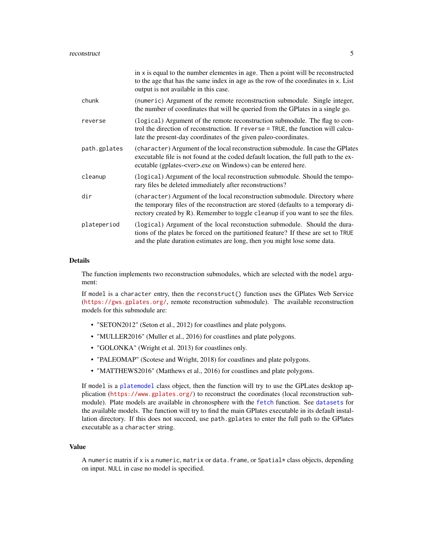<span id="page-4-0"></span>

|              | in x is equal to the number elementes in age. Then a point will be reconstructed<br>to the age that has the same index in age as the row of the coordinates in x. List<br>output is not available in this case.                                     |
|--------------|-----------------------------------------------------------------------------------------------------------------------------------------------------------------------------------------------------------------------------------------------------|
| chunk        | (numeric) Argument of the remote reconstruction submodule. Single integer,<br>the number of coordinates that will be queried from the GP lates in a single go.                                                                                      |
| reverse      | (logical) Argument of the remote reconstruction submodule. The flag to con-<br>trol the direction of reconstruction. If reverse = TRUE, the function will calcu-<br>late the present-day coordinates of the given paleo-coordinates.                |
| path.gplates | (character) Argument of the local reconstruction submodule. In case the GPlates<br>executable file is not found at the coded default location, the full path to the ex-<br>ecutable (gplates- <ver>.exe on Windows) can be entered here.</ver>      |
| cleanup      | (logical) Argument of the local reconstruction submodule. Should the tempo-<br>rary files be deleted immediately after reconstructions?                                                                                                             |
| dir          | (character) Argument of the local reconstruction submodule. Directory where<br>the temporary files of the reconstruction are stored (defaults to a temporary di-<br>rectory created by R). Remember to toggle cleanup if you want to see the files. |
| plateperiod  | (logical) Argument of the local reconstuction submodule. Should the dura-<br>tions of the plates be forced on the partitioned feature? If these are set to TRUE<br>and the plate duration estimates are long, then you might lose some data.        |

#### Details

The function implements two reconstruction submodules, which are selected with the model argument:

If model is a character entry, then the reconstruct() function uses the GPlates Web Service (<https://gws.gplates.org/>, remote reconstruction submodule). The available reconstruction models for this submodule are:

- "SETON2012" (Seton et al., 2012) for coastlines and plate polygons.
- "MULLER2016" (Muller et al., 2016) for coastlines and plate polygons.
- "GOLONKA" (Wright et al. 2013) for coastlines only.
- "PALEOMAP" (Scotese and Wright, 2018) for coastlines and plate polygons.
- "MATTHEWS2016" (Matthews et al., 2016) for coastlines and plate polygons.

If model is a [platemodel](#page-1-1) class object, then the function will try to use the GPLates desktop application (<https://www.gplates.org/>) to reconstruct the coordinates (local reconstruction submodule). Plate models are available in chronosphere with the [fetch](#page-0-0) function. See [datasets](#page-0-0) for the available models. The function will try to find the main GPlates executable in its default installation directory. If this does not succeed, use path.gplates to enter the full path to the GPlates executable as a character string.

#### Value

A numeric matrix if x is a numeric, matrix or data. frame, or Spatial $*$  class objects, depending on input. NULL in case no model is specified.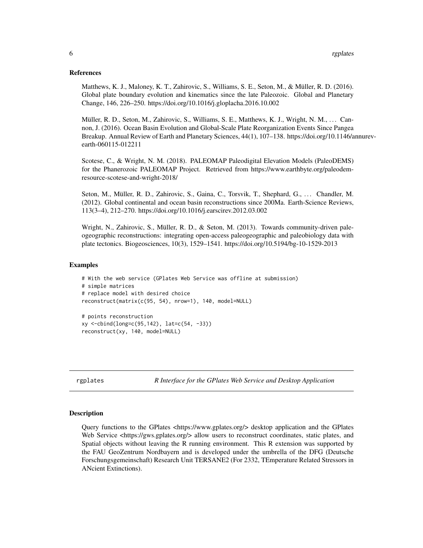#### <span id="page-5-0"></span>References

Matthews, K. J., Maloney, K. T., Zahirovic, S., Williams, S. E., Seton, M., & Müller, R. D. (2016). Global plate boundary evolution and kinematics since the late Paleozoic. Global and Planetary Change, 146, 226–250. https://doi.org/10.1016/j.gloplacha.2016.10.002

Müller, R. D., Seton, M., Zahirovic, S., Williams, S. E., Matthews, K. J., Wright, N. M., ... Cannon, J. (2016). Ocean Basin Evolution and Global-Scale Plate Reorganization Events Since Pangea Breakup. Annual Review of Earth and Planetary Sciences, 44(1), 107–138. https://doi.org/10.1146/annurevearth-060115-012211

Scotese, C., & Wright, N. M. (2018). PALEOMAP Paleodigital Elevation Models (PaleoDEMS) for the Phanerozoic PALEOMAP Project. Retrieved from https://www.earthbyte.org/paleodemresource-scotese-and-wright-2018/

Seton, M., Müller, R. D., Zahirovic, S., Gaina, C., Torsvik, T., Shephard, G., . . . Chandler, M. (2012). Global continental and ocean basin reconstructions since 200Ma. Earth-Science Reviews, 113(3–4), 212–270. https://doi.org/10.1016/j.earscirev.2012.03.002

Wright, N., Zahirovic, S., Müller, R. D., & Seton, M. (2013). Towards community-driven paleogeographic reconstructions: integrating open-access paleogeographic and paleobiology data with plate tectonics. Biogeosciences, 10(3), 1529–1541. https://doi.org/10.5194/bg-10-1529-2013

#### Examples

```
# With the web service (GPlates Web Service was offline at submission)
# simple matrices
# replace model with desired choice
reconstruct(matrix(c(95, 54), nrow=1), 140, model=NULL)
# points reconstruction
xy <-cbind(long=c(95,142), lat=c(54, -33))
reconstruct(xy, 140, model=NULL)
```
rgplates *R Interface for the GPlates Web Service and Desktop Application*

#### Description

Query functions to the GPlates <https://www.gplates.org/> desktop application and the GPlates Web Service <https://gws.gplates.org/> allow users to reconstruct coordinates, static plates, and Spatial objects without leaving the R running environment. This R extension was supported by the FAU GeoZentrum Nordbayern and is developed under the umbrella of the DFG (Deutsche Forschungsgemeinschaft) Research Unit TERSANE2 (For 2332, TEmperature Related Stressors in ANcient Extinctions).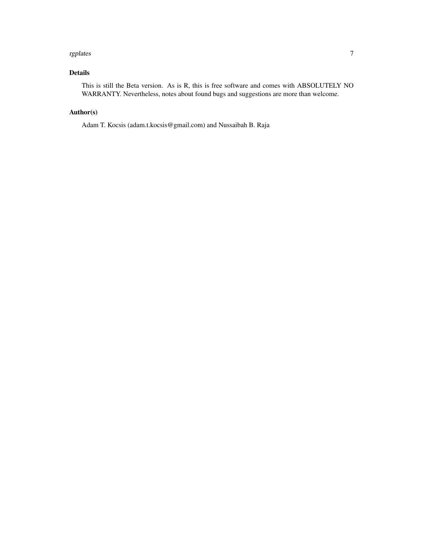#### rgplates **7**

#### Details

This is still the Beta version. As is R, this is free software and comes with ABSOLUTELY NO WARRANTY. Nevertheless, notes about found bugs and suggestions are more than welcome.

#### Author(s)

Adam T. Kocsis (adam.t.kocsis@gmail.com) and Nussaibah B. Raja